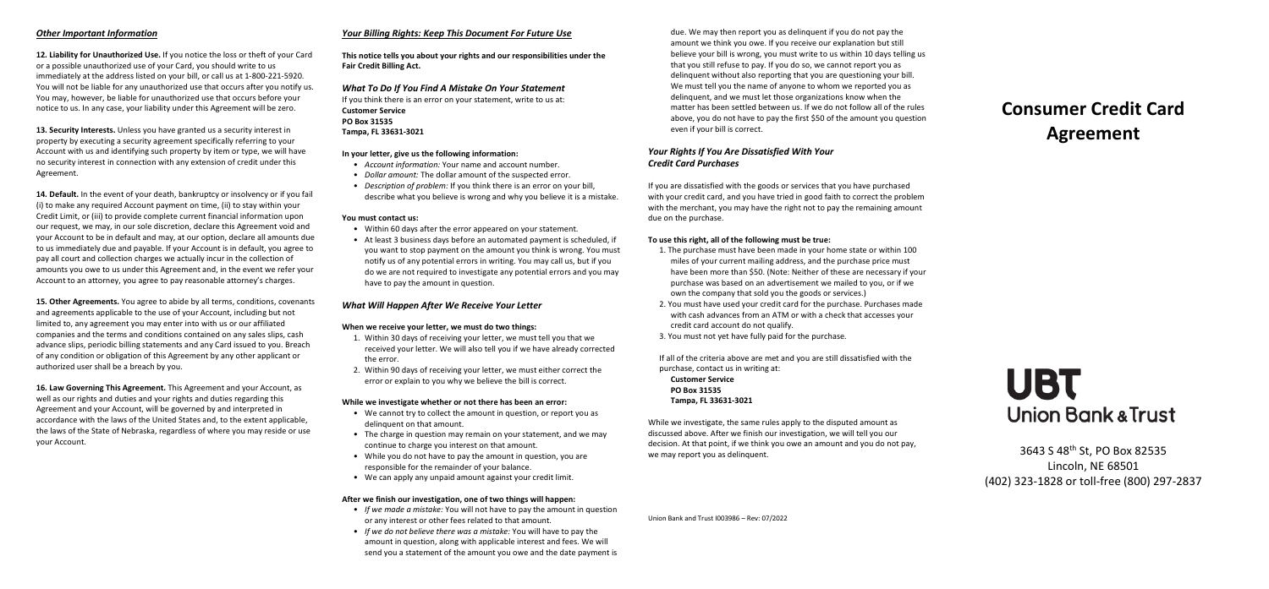## *Other Important Information*

**12. Liability for Unauthorized Use.** If you notice the loss or theft of your Card or a possible unauthorized use of your Card, you should write to us immediately at the address listed on your bill, or call us at 1-800-221-5920. You will not be liable for any unauthorized use that occurs after you notify us. You may, however, be liable for unauthorized use that occurs before your notice to us. In any case, your liability under this Agreement will be zero.

**13. Security Interests.** Unless you have granted us a security interest in property by executing a security agreement specifically referring to your Account with us and identifying such property by item or type, we will have no security interest in connection with any extension of credit under this Agreement.

**14. Default.** In the event of your death, bankruptcy or insolvency or if you fail (i) to make any required Account payment on time, (ii) to stay within your Credit Limit, or (iii) to provide complete current financial information upon our request, we may, in our sole discretion, declare this Agreement void and your Account to be in default and may, at our option, declare all amounts due to us immediately due and payable. If your Account is in default, you agree to pay all court and collection charges we actually incur in the collection of amounts you owe to us under this Agreement and, in the event we refer your Account to an attorney, you agree to pay reasonable attorney's charges.

**15. Other Agreements.** You agree to abide by all terms, conditions, covenants and agreements applicable to the use of your Account, including but not limited to, any agreement you may enter into with us or our affiliated companies and the terms and conditions contained on any sales slips, cash advance slips, periodic billing statements and any Card issued to you. Breach of any condition or obligation of this Agreement by any other applicant or authorized user shall be a breach by you.

**16. Law Governing This Agreement.** This Agreement and your Account, as well as our rights and duties and your rights and duties regarding this Agreement and your Account, will be governed by and interpreted in accordance with the laws of the United States and, to the extent applicable, the laws of the State of Nebraska, regardless of where you may reside or use your Account.

## *Your Billing Rights: Keep This Document For Future Use*

**This notice tells you about your rights and our responsibilities under the Fair Credit Billing Act.**

*What To Do If You Find A Mistake On Your Statement* If you think there is an error on your statement, write to us at: **Customer Service PO Box 31535 Tampa, FL 33631-3021**

## **In your letter, give us the following information:**

- *Account information:* Your name and account number.
- *Dollar amount:* The dollar amount of the suspected error.
- *Description of problem:* If you think there is an error on your bill, describe what you believe is wrong and why you believe it is a mistake.

#### **You must contact us:**

- Within 60 days after the error appeared on your statement.
- At least 3 business days before an automated payment is scheduled, if you want to stop payment on the amount you think is wrong. You must notify us of any potential errors in writing. You may call us, but if you do we are not required to investigate any potential errors and you may have to pay the amount in question.

## *What Will Happen After We Receive Your Letter*

### **When we receive your letter, we must do two things:**

- 1. Within 30 days of receiving your letter, we must tell you that we received your letter. We will also tell you if we have already corrected the error.
- 2. Within 90 days of receiving your letter, we must either correct the error or explain to you why we believe the bill is correct.

#### **While we investigate whether or not there has been an error:**

- We cannot try to collect the amount in question, or report you as delinquent on that amount.
- The charge in question may remain on your statement, and we may continue to charge you interest on that amount.
- While you do not have to pay the amount in question, you are responsible for the remainder of your balance.
- We can apply any unpaid amount against your credit limit.

#### **After we finish our investigation, one of two things will happen:**

- *If we made a mistake:* You will not have to pay the amount in question or any interest or other fees related to that amount.
- *If we do not believe there was a mistake:* You will have to pay the amount in question, along with applicable interest and fees. We will send you a statement of the amount you owe and the date payment is

due. We may then report you as delinquent if you do not pay the amount we think you owe. If you receive our explanation but still believe your bill is wrong, you must write to us within 10 days telling us that you still refuse to pay. If you do so, we cannot report you as delinquent without also reporting that you are questioning your bill. We must tell you the name of anyone to whom we reported you as delinquent, and we must let those organizations know when the matter has been settled between us. If we do not follow all of the rules above, you do not have to pay the first \$50 of the amount you question even if your bill is correct.

## *Your Rights If You Are Dissatisfied With Your Credit Card Purchases*

If you are dissatisfied with the goods or services that you have purchased with your credit card, and you have tried in good faith to correct the problem with the merchant, you may have the right not to pay the remaining amount due on the purchase.

### **To use this right, all of the following must be true:**

- 1. The purchase must have been made in your home state or within 100 miles of your current mailing address, and the purchase price must have been more than \$50. (Note: Neither of these are necessary if your purchase was based on an advertisement we mailed to you, or if we own the company that sold you the goods or services.)
- 2. You must have used your credit card for the purchase. Purchases made with cash advances from an ATM or with a check that accesses your credit card account do not qualify.
- 3. You must not yet have fully paid for the purchase.

If all of the criteria above are met and you are still dissatisfied with the purchase, contact us in writing at: **Customer Service PO Box 31535 Tampa, FL 33631-3021**

While we investigate, the same rules apply to the disputed amount as discussed above. After we finish our investigation, we will tell you our decision. At that point, if we think you owe an amount and you do not pay, we may report you as delinquent.

**Agreement** 

**Consumer Credit Card** 



3643 S 48th St, PO Box 82535 Lincoln, NE 68501 (402) 323-1828 or toll-free (800) 297-2837

Union Bank and Trust I003986 – Rev: 07/2022